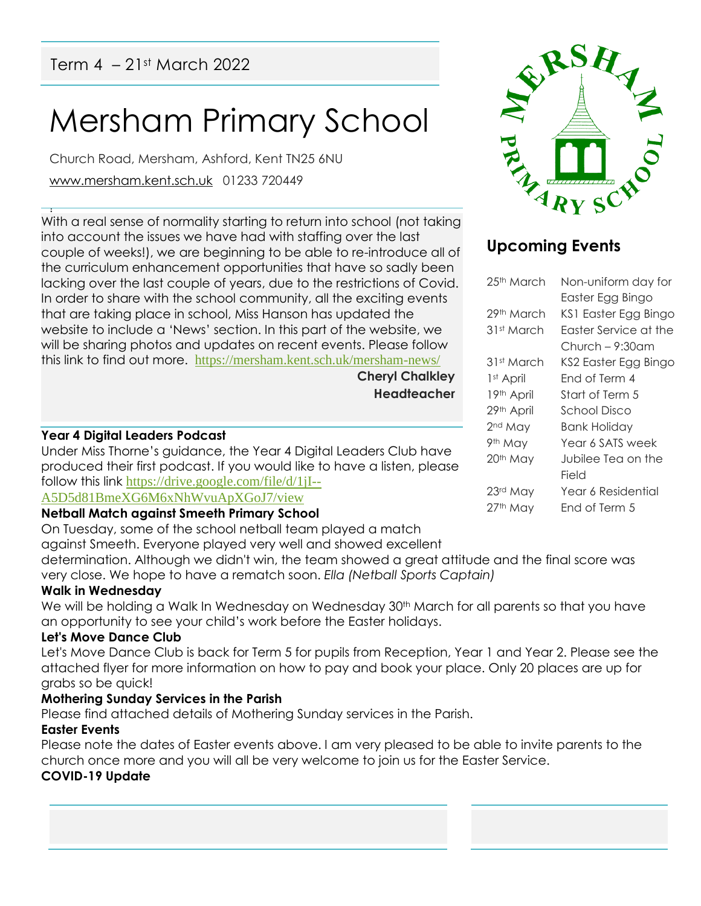# Mersham Primary School

Church Road, Mersham, Ashford, Kent TN25 6NU [www.mersham.kent.sch.uk](http://www.mersham.kent.sch.uk/) 01233 720449

! With a real sense of normality starting to return into school (not taking into account the issues we have had with staffing over the last couple of weeks!), we are beginning to be able to re-introduce all of the curriculum enhancement opportunities that have so sadly been lacking over the last couple of years, due to the restrictions of Covid. In order to share with the school community, all the exciting events that are taking place in school, Miss Hanson has updated the website to include a 'News' section. In this part of the website, we will be sharing photos and updates on recent events. Please follow this link to find out more. <https://mersham.kent.sch.uk/mersham-news/>

**Cheryl Chalkley Headteacher**

#### **Year 4 Digital Leaders Podcast**

Under Miss Thorne's guidance, the Year 4 Digital Leaders Club have produced their first podcast. If you would like to have a listen, please follow this link [https://drive.google.com/file/d/1jI--](https://drive.google.com/file/d/1jI--A5D5d81BmeXG6M6xNhWvuApXGoJ7/view)

# [A5D5d81BmeXG6M6xNhWvuApXGoJ7/view](https://drive.google.com/file/d/1jI--A5D5d81BmeXG6M6xNhWvuApXGoJ7/view)

#### **Netball Match against Smeeth Primary School**

On Tuesday, some of the school netball team played a match

against Smeeth. Everyone played very well and showed excellent determination. Although we didn't win, the team showed a great attitude and the final score was very close. We hope to have a rematch soon. *Ella (Netball Sports Captain)*

#### **Walk in Wednesday**

We will be holding a Walk In Wednesday on Wednesday 30<sup>th</sup> March for all parents so that you have an opportunity to see your child's work before the Easter holidays.

#### **Let's Move Dance Club**

Let's Move Dance Club is back for Term 5 for pupils from Reception, Year 1 and Year 2. Please see the attached flyer for more information on how to pay and book your place. Only 20 places are up for grabs so be quick!

#### **Mothering Sunday Services in the Parish**

Please find attached details of Mothering Sunday services in the Parish.

# **Easter Events**

Please note the dates of Easter events above. I am very pleased to be able to invite parents to the church once more and you will all be very welcome to join us for the Easter Service.

# **COVID-19 Update**

# **Upcoming Events**

| 25 <sup>th</sup> March | Non-uniform day for   |
|------------------------|-----------------------|
|                        | Easter Egg Bingo      |
| 29th March             | KS1 Easter Egg Bingo  |
| 31st March             | Easter Service at the |
|                        | Church – 9:30am       |
| 31st March             | KS2 Easter Egg Bingo  |
| 1 <sup>st</sup> April  | Fnd of Term 4         |
| 19th April             | Start of Term 5       |
| 29th April             | School Disco          |
| 2 <sup>nd</sup> May    | Bank Holiday          |
| 9th May                | Year 6 SATS week      |
| 20 <sup>th</sup> May   | Jubilee Tea on the    |
|                        | Field                 |
| 23rd May               | Year 6 Residential    |
| 27th May               | Fnd of Term 5         |
|                        |                       |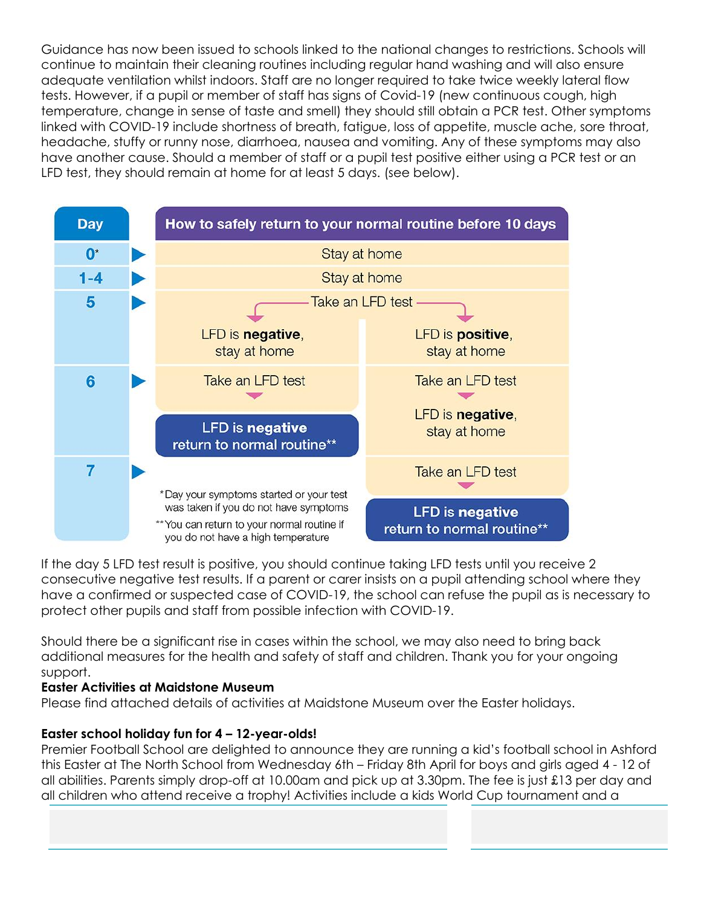Guidance has now been issued to schools linked to the national changes to restrictions. Schools will continue to maintain their cleaning routines including regular hand washing and will also ensure adequate ventilation whilst indoors. Staff are no longer required to take twice weekly lateral flow tests. However, if a pupil or member of staff has signs of Covid-19 (new continuous cough, high temperature, change in sense of taste and smell) they should still obtain a PCR test. Other symptoms linked with COVID-19 include shortness of breath, fatigue, loss of appetite, muscle ache, sore throat, headache, stuffy or runny nose, diarrhoea, nausea and vomiting. Any of these symptoms may also have another cause. Should a member of staff or a pupil test positive either using a PCR test or an LFD test, they should remain at home for at least 5 days. (see below).



If the day 5 LFD test result is positive, you should continue taking LFD tests until you receive 2 consecutive negative test results. If a parent or carer insists on a pupil attending school where they have a confirmed or suspected case of COVID-19, the school can refuse the pupil as is necessary to protect other pupils and staff from possible infection with COVID-19.

Should there be a significant rise in cases within the school, we may also need to bring back additional measures for the health and safety of staff and children. Thank you for your ongoing support.

#### **Easter Activities at Maidstone Museum**

Please find attached details of activities at Maidstone Museum over the Easter holidays.

# **Easter school holiday fun for 4 – 12-year-olds!**

Premier Football School are delighted to announce they are running a kid's football school in Ashford this Easter at The North School from Wednesday 6th – Friday 8th April for boys and girls aged 4 - 12 of all abilities. Parents simply drop-off at 10.00am and pick up at 3.30pm. The fee is just £13 per day and all children who attend receive a trophy! Activities include a kids World Cup tournament and a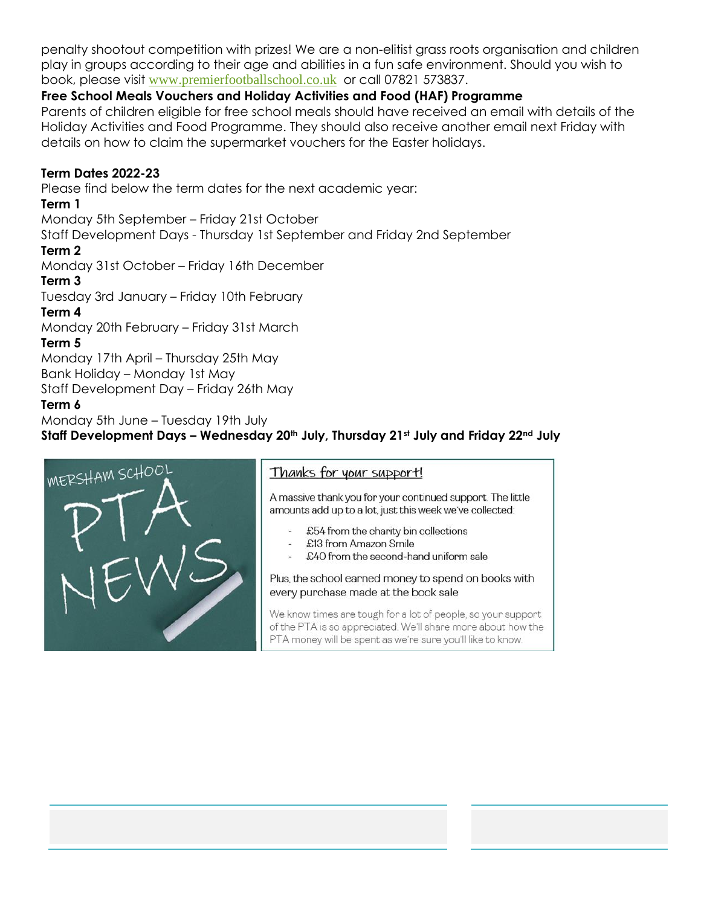penalty shootout competition with prizes! We are a non-elitist grass roots organisation and children play in groups according to their age and abilities in a fun safe environment. Should you wish to book, please visit [www.premierfootballschool.co.uk](http://www.premierfootballschool.co.uk/) or call 07821 573837.

#### **Free School Meals Vouchers and Holiday Activities and Food (HAF) Programme**

Parents of children eligible for free school meals should have received an email with details of the Holiday Activities and Food Programme. They should also receive another email next Friday with details on how to claim the supermarket vouchers for the Easter holidays.

#### **Term Dates 2022-23**

Please find below the term dates for the next academic year:

#### **Term 1**

Monday 5th September – Friday 21st October

Staff Development Days - Thursday 1st September and Friday 2nd September

#### **Term 2**

Monday 31st October – Friday 16th December

#### **Term 3**

Tuesday 3rd January – Friday 10th February

#### **Term 4**

Monday 20th February – Friday 31st March

#### **Term 5**

Monday 17th April – Thursday 25th May Bank Holiday – Monday 1st May Staff Development Day – Friday 26th May

#### **Term 6**

Monday 5th June – Tuesday 19th July **Staff Development Days – Wednesday 20th July, Thursday 21st July and Friday 22nd July**



A massive thank you for your continued support. The little amounts add up to a lot, just this week we've collected:

- £54 from the charity bin collections
- £40 from the second-hand uniform sale

#### Plus, the school earned money to spend on books with every purchase made at the book sale

We know times are tough for a lot of people, so your support of the PTA is so appreciated. We'll share more about how the PTA money will be spent as we're sure you'll like to know.